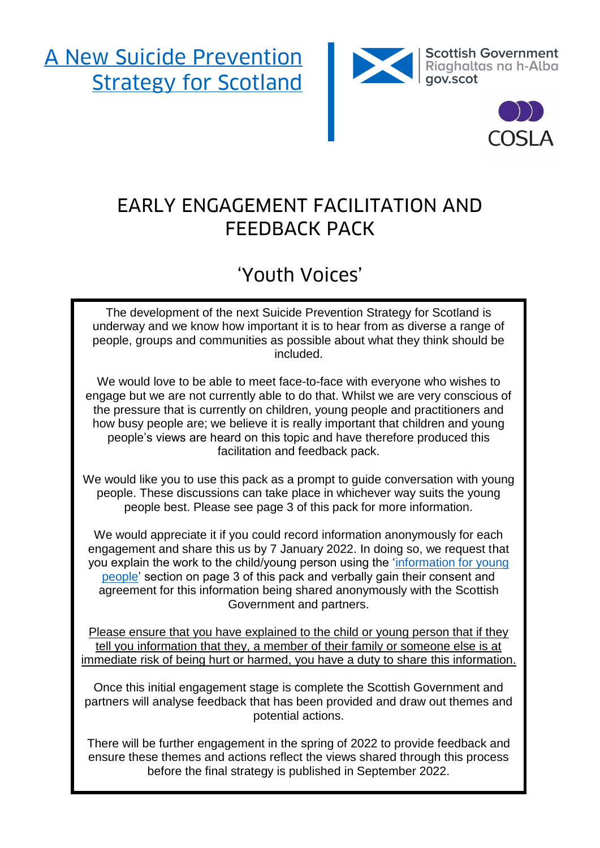



# EARLY ENGAGEMENT FACILITATION AND FEEDBACK PACK

# 'Youth Voices'

The development of the next Suicide Prevention Strategy for Scotland is underway and we know how important it is to hear from as diverse a range of people, groups and communities as possible about what they think should be included.

We would love to be able to meet face-to-face with everyone who wishes to engage but we are not currently able to do that. Whilst we are very conscious of the pressure that is currently on children, young people and practitioners and how busy people are; we believe it is really important that children and young people's views are heard on this topic and have therefore produced this facilitation and feedback pack.

We would like you to use this pack as a prompt to guide conversation with young people. These discussions can take place in whichever way suits the young people best. Please see page 3 of this pack for more information.

We would appreciate it if you could record information anonymously for each engagement and share this us by 7 January 2022. In doing so, we request that you explain the work to the child/young person using the 'information for young [people'](#page-2-0) section on page 3 of this pack and verbally gain their consent and agreement for this information being shared anonymously with the Scottish Government and partners.

Please ensure that you have explained to the child or young person that if they tell you information that they, a member of their family or someone else is at immediate risk of being hurt or harmed, you have a duty to share this information.

Once this initial engagement stage is complete the Scottish Government and partners will analyse feedback that has been provided and draw out themes and potential actions.

There will be further engagement in the spring of 2022 to provide feedback and ensure these themes and actions reflect the views shared through this process before the final strategy is published in September 2022.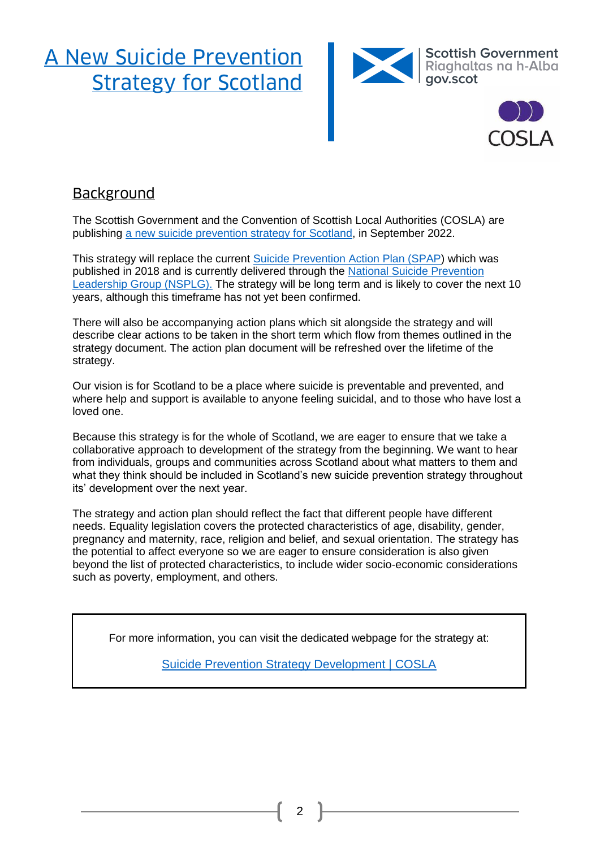# A New Suicide Prevention Strategy for Scotland and I gov.scot





## **Background**

The Scottish Government and the Convention of Scottish Local Authorities (COSLA) are publishing [a new suicide prevention strategy for Scotland,](https://www.cosla.gov.uk/about-cosla/our-teams/health-and-social-care/local-area-suicide-prevention-action-plan-guidance2) in September 2022.

This strategy will replace the current [Suicide Prevention Action Plan \(SPAP\)](https://www.gov.scot/publications/scotlands-suicide-prevention-action-plan-life-matters/) which was published in 2018 and is currently delivered through the [National Suicide Prevention](https://www.gov.scot/groups/national-suicide-prevention-leadership-group/)  [Leadership Group \(NSPLG\).](https://www.gov.scot/groups/national-suicide-prevention-leadership-group/) The strategy will be long term and is likely to cover the next 10 years, although this timeframe has not yet been confirmed.

There will also be accompanying action plans which sit alongside the strategy and will describe clear actions to be taken in the short term which flow from themes outlined in the strategy document. The action plan document will be refreshed over the lifetime of the strategy.

Our vision is for Scotland to be a place where suicide is preventable and prevented, and where help and support is available to anyone feeling suicidal, and to those who have lost a loved one.

Because this strategy is for the whole of Scotland, we are eager to ensure that we take a collaborative approach to development of the strategy from the beginning. We want to hear from individuals, groups and communities across Scotland about what matters to them and what they think should be included in Scotland's new suicide prevention strategy throughout its' development over the next year.

The strategy and action plan should reflect the fact that different people have different needs. Equality legislation covers the protected characteristics of age, disability, gender, pregnancy and maternity, race, religion and belief, and sexual orientation. The strategy has the potential to affect everyone so we are eager to ensure consideration is also given beyond the list of protected characteristics, to include wider socio-economic considerations such as poverty, employment, and others.

For more information, you can visit the dedicated webpage for the strategy at:

[Suicide Prevention Strategy Development | COSLA](https://www.cosla.gov.uk/about-cosla/our-teams/health-and-social-care/local-area-suicide-prevention-action-plan-guidance2)

 $\mathfrak{p}$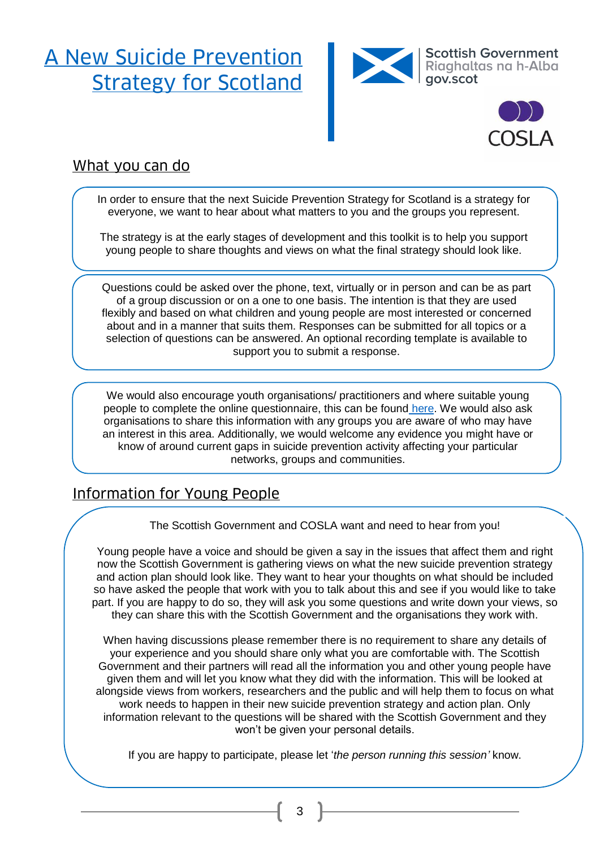



### What you can do

In order to ensure that the next Suicide Prevention Strategy for Scotland is a strategy for everyone, we want to hear about what matters to you and the groups you represent.

The strategy is at the early stages of development and this toolkit is to help you support young people to share thoughts and views on what the final strategy should look like.

Questions could be asked over the phone, text, virtually or in person and can be as part of a group discussion or on a one to one basis. The intention is that they are used flexibly and based on what children and young people are most interested or concerned about and in a manner that suits them. Responses can be submitted for all topics or a selection of questions can be answered. An optional recording template is available to support you to submit a response.

We would also encourage youth organisations/ practitioners and where suitable young people to complete the online questionnaire, this can be found [here.](https://www.cosla.gov.uk/about-cosla/our-teams/health-and-social-care/local-area-suicide-prevention-action-plan-guidance2) We would also ask organisations to share this information with any groups you are aware of who may have an interest in this area. Additionally, we would welcome any evidence you might have or know of around current gaps in suicide prevention activity affecting your particular networks, groups and communities.

## <span id="page-2-0"></span>Information for Young People

The Scottish Government and COSLA want and need to hear from you!

Young people have a voice and should be given a say in the issues that affect them and right now the Scottish Government is gathering views on what the new suicide prevention strategy and action plan should look like. They want to hear your thoughts on what should be included so have asked the people that work with you to talk about this and see if you would like to take part. If you are happy to do so, they will ask you some questions and write down your views, so they can share this with the Scottish Government and the organisations they work with.

When having discussions please remember there is no requirement to share any details of your experience and you should share only what you are comfortable with. The Scottish Government and their partners will read all the information you and other young people have given them and will let you know what they did with the information. This will be looked at alongside views from workers, researchers and the public and will help them to focus on what work needs to happen in their new suicide prevention strategy and action plan. Only information relevant to the questions will be shared with the Scottish Government and they won't be given your personal details.

If you are happy to participate, please let '*the person running this session'* know.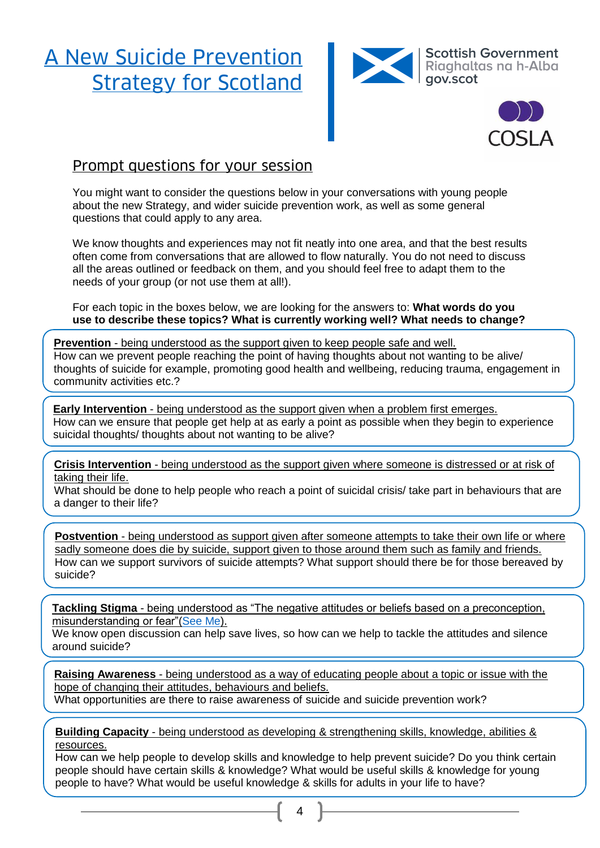

## Prompt questions for your session

You might want to consider the questions below in your conversations with young people about the new Strategy, and wider suicide prevention work, as well as some general questions that could apply to any area.

We know thoughts and experiences may not fit neatly into one area, and that the best results often come from conversations that are allowed to flow naturally. You do not need to discuss all the areas outlined or feedback on them, and you should feel free to adapt them to the needs of your group (or not use them at all!).

For each topic in the boxes below, we are looking for the answers to: **What words do you use to describe these topics? What is currently working well? What needs to change?**

**Prevention** - being understood as the support given to keep people safe and well. How can we prevent people reaching the point of having thoughts about not wanting to be alive/ thoughts of suicide for example, promoting good health and wellbeing, reducing trauma, engagement in community activities etc.?

**Early Intervention** - being understood as the support given when a problem first emerges. How can we ensure that people get help at as early a point as possible when they begin to experience suicidal thoughts/ thoughts about not wanting to be alive?

**Crisis Intervention** - being understood as the support given where someone is distressed or at risk of taking their life.

What should be done to help people who reach a point of suicidal crisis/ take part in behaviours that are a danger to their life?

**Postvention** - being understood as support given after someone attempts to take their own life or where sadly someone does die by suicide, support given to those around them such as family and friends. How can we support survivors of suicide attempts? What support should there be for those bereaved by suicide?

**Tackling Stigma** - being understood as "The negative attitudes or beliefs based on a preconception, misunderstanding or fear"[\(See Me\)](https://www.seemescotland.org/stigma-discrimination/understanding-mental-health-stigma-and-discrimination/).

We know open discussion can help save lives, so how can we help to tackle the attitudes and silence around suicide?

**Raising Awareness** - being understood as a way of educating people about a topic or issue with the hope of changing their attitudes, behaviours and beliefs.

What opportunities are there to raise awareness of suicide and suicide prevention work?

**Building Capacity** - being understood as developing & strengthening skills, knowledge, abilities & resources.

How can we help people to develop skills and knowledge to help prevent suicide? Do you think certain people should have certain skills & knowledge? What would be useful skills & knowledge for young people to have? What would be useful knowledge & skills for adults in your life to have?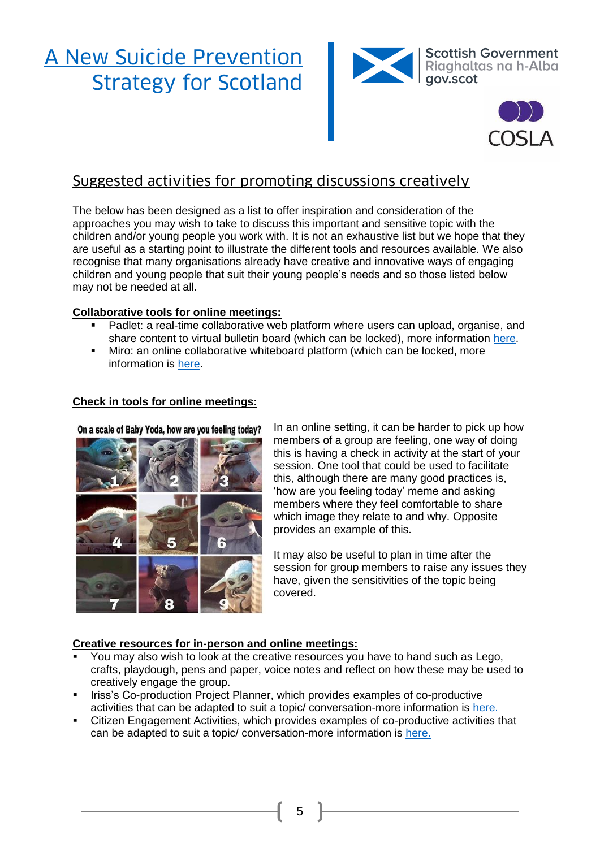# A New Suicide Prevention Strategy for Scotland and I gov.scot





## Suggested activities for promoting discussions creatively

The below has been designed as a list to offer inspiration and consideration of the approaches you may wish to take to discuss this important and sensitive topic with the children and/or young people you work with. It is not an exhaustive list but we hope that they are useful as a starting point to illustrate the different tools and resources available. We also recognise that many organisations already have creative and innovative ways of engaging children and young people that suit their young people's needs and so those listed below may not be needed at all.

#### **Collaborative tools for online meetings:**

- **Padlet: a real-time collaborative web platform where users can upload, organise, and** share content to virtual bulletin board (which can be locked), more information [here.](https://padlet.com/)
- Miro: an online collaborative whiteboard platform (which can be locked, more information is [here.](https://miro.com/signup/#:~:text=Miro%3A%20the%20collaborative%20whiteboard,platform%20for%20distributed%20teams.%20)

#### **Check in tools for online meetings:**

On a scale of Baby Yoda, how are you feeling today?

In an online setting, it can be harder to pick up how members of a group are feeling, one way of doing this is having a check in activity at the start of your session. One tool that could be used to facilitate this, although there are many good practices is, 'how are you feeling today' meme and asking members where they feel comfortable to share which image they relate to and why. Opposite provides an example of this.

It may also be useful to plan in time after the session for group members to raise any issues they have, given the sensitivities of the topic being covered.

#### **Creative resources for in-person and online meetings:**

- You may also wish to look at the creative resources you have to hand such as Lego, crafts, playdough, pens and paper, voice notes and reflect on how these may be used to creatively engage the group.
- **IFICH** Iriss's Co-production Project Planner, which provides examples of co-productive activities that can be adapted to suit a topic/ conversation-more information is [here.](file:///C:/Users/jenny/Downloads/iriss-coproduction-project-planner-tools.pdf)
- Citizen Engagement Activities, which provides examples of co-productive activities that can be adapted to suit a topic/ conversation-more information is [here.](Participation%20Activities%20-%20Citizen%20Engagement%20Activities%20(citizen-engagement.eu))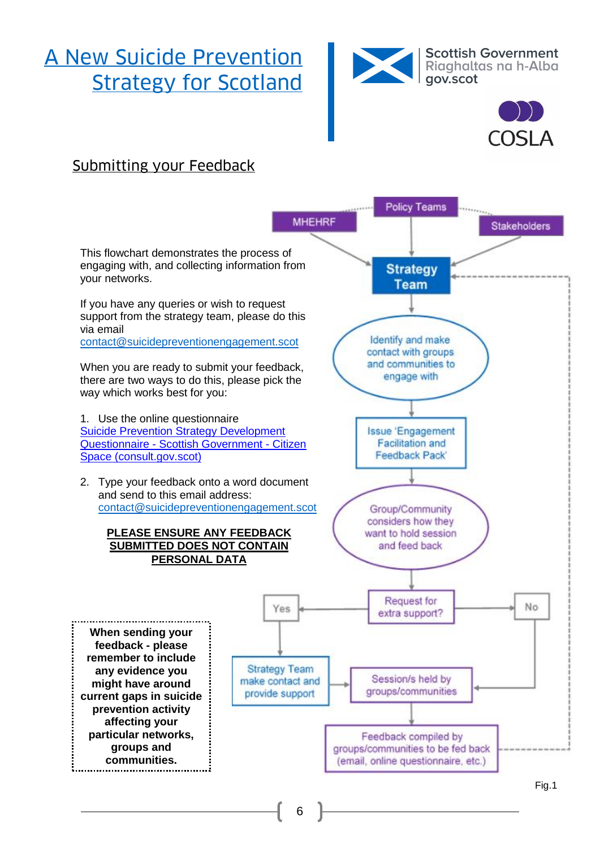



## Submitting your Feedback

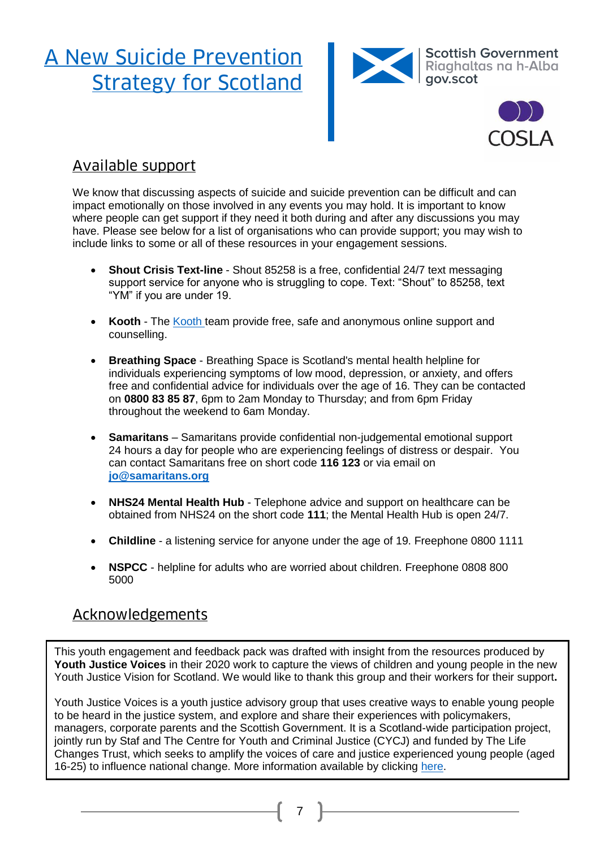# A New Suicide Prevention Strategy for Scotland



## Available support

We know that discussing aspects of suicide and suicide prevention can be difficult and can impact emotionally on those involved in any events you may hold. It is important to know where people can get support if they need it both during and after any discussions you may have. Please see below for a list of organisations who can provide support; you may wish to include links to some or all of these resources in your engagement sessions.

- **Shout Crisis Text-line** Shout 85258 is a free, confidential 24/7 text messaging support service for anyone who is struggling to cope. Text: "Shout" to 85258, text "YM" if you are under 19.
- **Kooth** The [Kooth](https://www.kooth.com/) team provide free, safe and anonymous online support and counselling.
- **Breathing Space** Breathing Space is Scotland's mental health helpline for individuals experiencing symptoms of low mood, depression, or anxiety, and offers free and confidential advice for individuals over the age of 16. They can be contacted on **0800 83 85 87**, 6pm to 2am Monday to Thursday; and from 6pm Friday throughout the weekend to 6am Monday.
- **Samaritans** Samaritans provide confidential non-judgemental emotional support 24 hours a day for people who are experiencing feelings of distress or despair. You can contact Samaritans free on short code **116 123** or via email on **[jo@samaritans.org](mailto:jo@samaritans.org)**
- **NHS24 Mental Health Hub** Telephone advice and support on healthcare can be obtained from NHS24 on the short code **111**; the Mental Health Hub is open 24/7.
- **Childline** a listening service for anyone under the age of 19. Freephone 0800 1111
- **NSPCC** helpline for adults who are worried about children. Freephone 0808 800 5000

## Acknowledgements

This youth engagement and feedback pack was drafted with insight from the resources produced by **Youth Justice Voices** in their 2020 work to capture the views of children and young people in the new Youth Justice Vision for Scotland. We would like to thank this group and their workers for their support**.** 

Youth Justice Voices is a youth justice advisory group that uses creative ways to enable young people to be heard in the justice system, and explore and share their experiences with policymakers, managers, corporate parents and the Scottish Government. It is a Scotland-wide participation project, jointly run by Staf and The Centre for Youth and Criminal Justice (CYCJ) and funded by The Life Changes Trust, which seeks to amplify the voices of care and justice experienced young people (aged 16-25) to influence national change. More information available by clicking [here.](https://www.staf.scot/Listing/Category/youth-justice-voices)